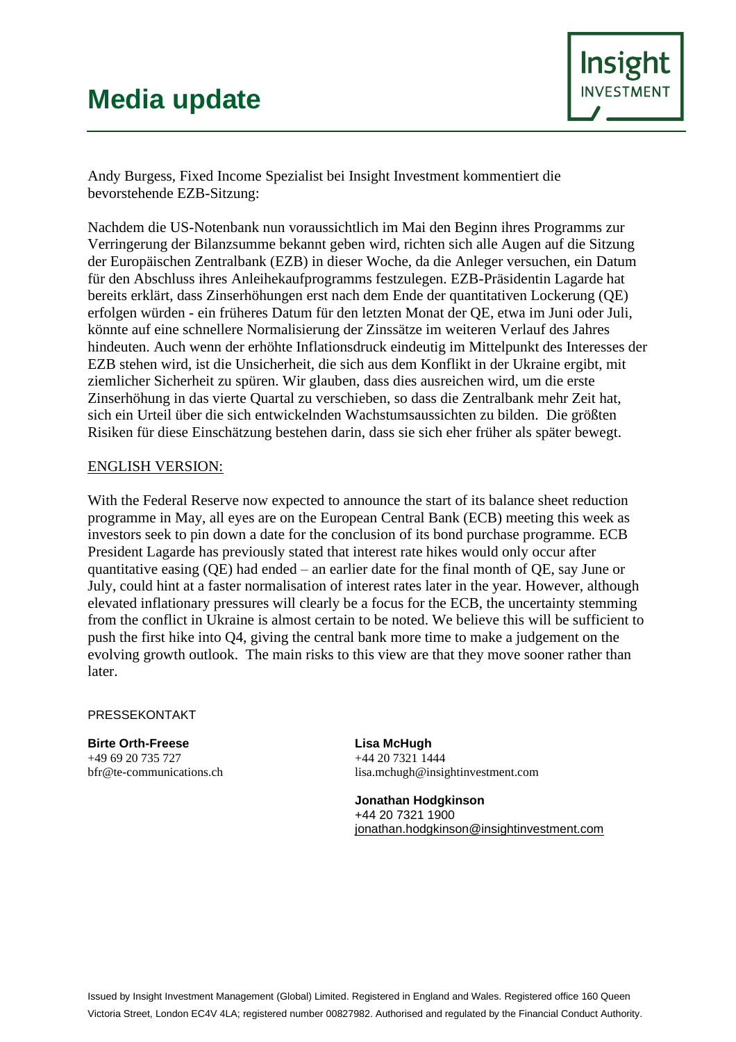## **Media update**



Andy Burgess, Fixed Income Spezialist bei Insight Investment kommentiert die bevorstehende EZB-Sitzung:

Nachdem die US-Notenbank nun voraussichtlich im Mai den Beginn ihres Programms zur Verringerung der Bilanzsumme bekannt geben wird, richten sich alle Augen auf die Sitzung der Europäischen Zentralbank (EZB) in dieser Woche, da die Anleger versuchen, ein Datum für den Abschluss ihres Anleihekaufprogramms festzulegen. EZB-Präsidentin Lagarde hat bereits erklärt, dass Zinserhöhungen erst nach dem Ende der quantitativen Lockerung (QE) erfolgen würden - ein früheres Datum für den letzten Monat der QE, etwa im Juni oder Juli, könnte auf eine schnellere Normalisierung der Zinssätze im weiteren Verlauf des Jahres hindeuten. Auch wenn der erhöhte Inflationsdruck eindeutig im Mittelpunkt des Interesses der EZB stehen wird, ist die Unsicherheit, die sich aus dem Konflikt in der Ukraine ergibt, mit ziemlicher Sicherheit zu spüren. Wir glauben, dass dies ausreichen wird, um die erste Zinserhöhung in das vierte Quartal zu verschieben, so dass die Zentralbank mehr Zeit hat, sich ein Urteil über die sich entwickelnden Wachstumsaussichten zu bilden. Die größten Risiken für diese Einschätzung bestehen darin, dass sie sich eher früher als später bewegt.

### ENGLISH VERSION:

With the Federal Reserve now expected to announce the start of its balance sheet reduction programme in May, all eyes are on the European Central Bank (ECB) meeting this week as investors seek to pin down a date for the conclusion of its bond purchase programme. ECB President Lagarde has previously stated that interest rate hikes would only occur after quantitative easing (QE) had ended – an earlier date for the final month of QE, say June or July, could hint at a faster normalisation of interest rates later in the year. However, although elevated inflationary pressures will clearly be a focus for the ECB, the uncertainty stemming from the conflict in Ukraine is almost certain to be noted. We believe this will be sufficient to push the first hike into Q4, giving the central bank more time to make a judgement on the evolving growth outlook. The main risks to this view are that they move sooner rather than later.

### PRESSEKONTAKT

**Birte Orth-Freese Lisa McHugh** +49 69 20 735 727 +44 20 7321 1444

bfr@te-communications.ch lisa.mchugh@insightinvestment.com

**Jonathan Hodgkinson** +44 20 7321 1900 [jonathan.hodgkinson@insightinvestment.com](mailto:jonathan.hodgkinson@insightinvestment.com)